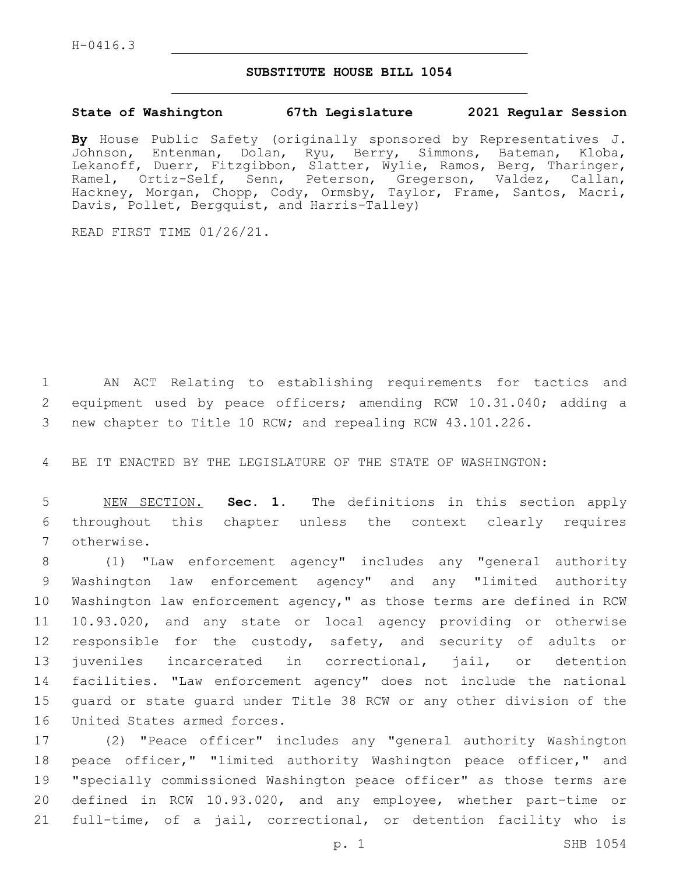## **SUBSTITUTE HOUSE BILL 1054**

## **State of Washington 67th Legislature 2021 Regular Session**

**By** House Public Safety (originally sponsored by Representatives J. Johnson, Entenman, Dolan, Ryu, Berry, Simmons, Bateman, Kloba, Lekanoff, Duerr, Fitzgibbon, Slatter, Wylie, Ramos, Berg, Tharinger, Ramel, Ortiz-Self, Senn, Peterson, Gregerson, Valdez, Callan, Hackney, Morgan, Chopp, Cody, Ormsby, Taylor, Frame, Santos, Macri, Davis, Pollet, Bergquist, and Harris-Talley)

READ FIRST TIME 01/26/21.

1 AN ACT Relating to establishing requirements for tactics and 2 equipment used by peace officers; amending RCW 10.31.040; adding a 3 new chapter to Title 10 RCW; and repealing RCW 43.101.226.

4 BE IT ENACTED BY THE LEGISLATURE OF THE STATE OF WASHINGTON:

5 NEW SECTION. **Sec. 1.** The definitions in this section apply 6 throughout this chapter unless the context clearly requires 7 otherwise.

 (1) "Law enforcement agency" includes any "general authority Washington law enforcement agency" and any "limited authority Washington law enforcement agency," as those terms are defined in RCW 10.93.020, and any state or local agency providing or otherwise 12 responsible for the custody, safety, and security of adults or juveniles incarcerated in correctional, jail, or detention facilities. "Law enforcement agency" does not include the national guard or state guard under Title 38 RCW or any other division of the 16 United States armed forces.

 (2) "Peace officer" includes any "general authority Washington peace officer," "limited authority Washington peace officer," and "specially commissioned Washington peace officer" as those terms are defined in RCW 10.93.020, and any employee, whether part-time or full-time, of a jail, correctional, or detention facility who is

p. 1 SHB 1054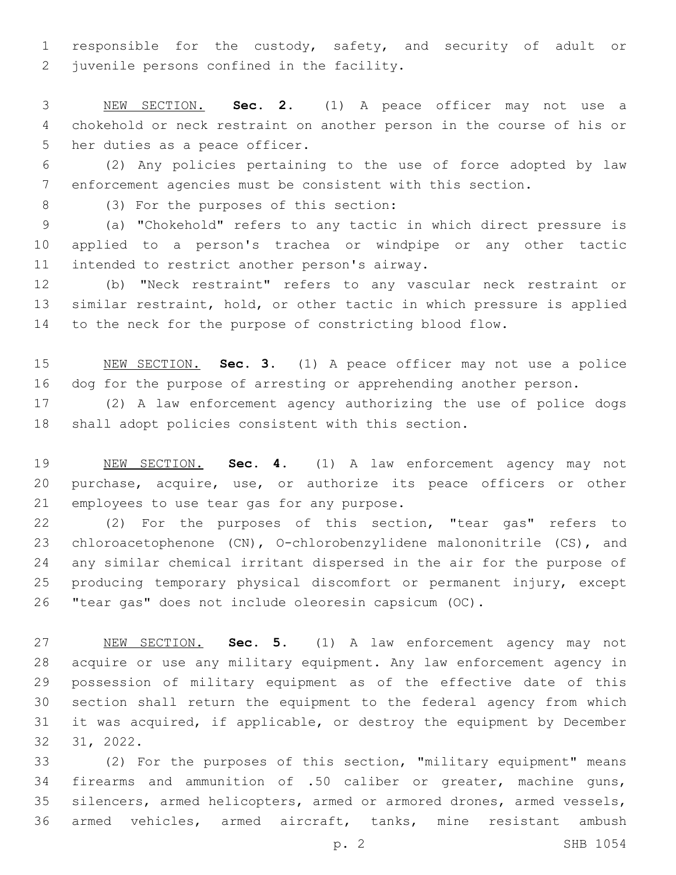responsible for the custody, safety, and security of adult or 2 juvenile persons confined in the facility.

 NEW SECTION. **Sec. 2.** (1) A peace officer may not use a chokehold or neck restraint on another person in the course of his or her duties as a peace officer.

 (2) Any policies pertaining to the use of force adopted by law enforcement agencies must be consistent with this section.

(3) For the purposes of this section:8

 (a) "Chokehold" refers to any tactic in which direct pressure is applied to a person's trachea or windpipe or any other tactic 11 intended to restrict another person's airway.

 (b) "Neck restraint" refers to any vascular neck restraint or similar restraint, hold, or other tactic in which pressure is applied to the neck for the purpose of constricting blood flow.

 NEW SECTION. **Sec. 3.** (1) A peace officer may not use a police dog for the purpose of arresting or apprehending another person.

 (2) A law enforcement agency authorizing the use of police dogs shall adopt policies consistent with this section.

 NEW SECTION. **Sec. 4.** (1) A law enforcement agency may not purchase, acquire, use, or authorize its peace officers or other employees to use tear gas for any purpose.

 (2) For the purposes of this section, "tear gas" refers to chloroacetophenone (CN), O-chlorobenzylidene malononitrile (CS), and any similar chemical irritant dispersed in the air for the purpose of producing temporary physical discomfort or permanent injury, except "tear gas" does not include oleoresin capsicum (OC).

 NEW SECTION. **Sec. 5.** (1) A law enforcement agency may not acquire or use any military equipment. Any law enforcement agency in possession of military equipment as of the effective date of this section shall return the equipment to the federal agency from which it was acquired, if applicable, or destroy the equipment by December 31, 2022.

 (2) For the purposes of this section, "military equipment" means firearms and ammunition of .50 caliber or greater, machine guns, silencers, armed helicopters, armed or armored drones, armed vessels, armed vehicles, armed aircraft, tanks, mine resistant ambush

p. 2 SHB 1054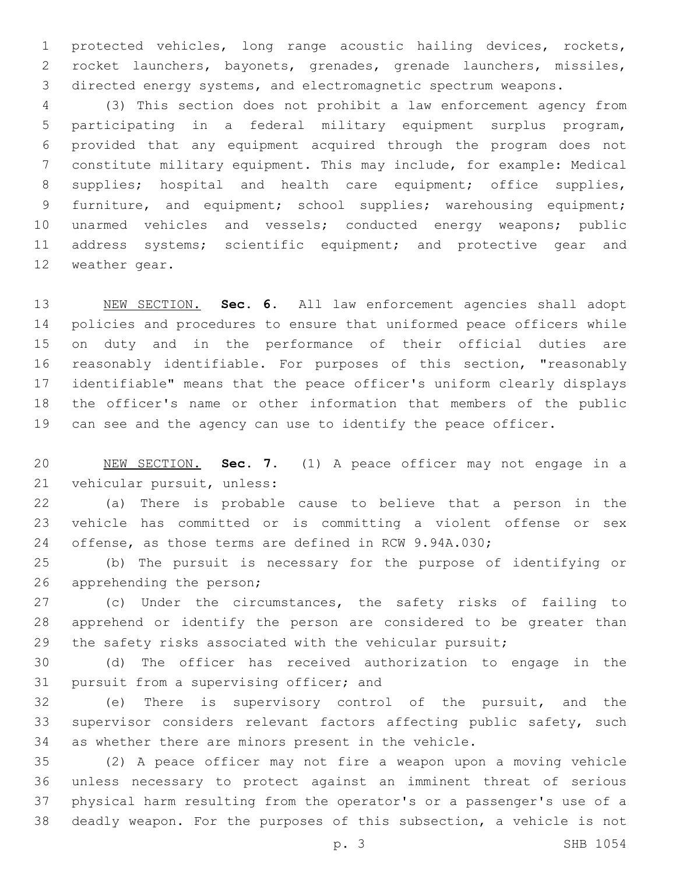protected vehicles, long range acoustic hailing devices, rockets, rocket launchers, bayonets, grenades, grenade launchers, missiles, directed energy systems, and electromagnetic spectrum weapons.

 (3) This section does not prohibit a law enforcement agency from participating in a federal military equipment surplus program, provided that any equipment acquired through the program does not constitute military equipment. This may include, for example: Medical 8 supplies; hospital and health care equipment; office supplies, 9 furniture, and equipment; school supplies; warehousing equipment; unarmed vehicles and vessels; conducted energy weapons; public 11 address systems; scientific equipment; and protective gear and 12 weather gear.

 NEW SECTION. **Sec. 6.** All law enforcement agencies shall adopt policies and procedures to ensure that uniformed peace officers while on duty and in the performance of their official duties are reasonably identifiable. For purposes of this section, "reasonably identifiable" means that the peace officer's uniform clearly displays the officer's name or other information that members of the public can see and the agency can use to identify the peace officer.

 NEW SECTION. **Sec. 7.** (1) A peace officer may not engage in a vehicular pursuit, unless:

 (a) There is probable cause to believe that a person in the vehicle has committed or is committing a violent offense or sex offense, as those terms are defined in RCW 9.94A.030;

 (b) The pursuit is necessary for the purpose of identifying or 26 apprehending the person;

 (c) Under the circumstances, the safety risks of failing to apprehend or identify the person are considered to be greater than 29 the safety risks associated with the vehicular pursuit;

 (d) The officer has received authorization to engage in the 31 pursuit from a supervising officer; and

 (e) There is supervisory control of the pursuit, and the supervisor considers relevant factors affecting public safety, such as whether there are minors present in the vehicle.

 (2) A peace officer may not fire a weapon upon a moving vehicle unless necessary to protect against an imminent threat of serious physical harm resulting from the operator's or a passenger's use of a deadly weapon. For the purposes of this subsection, a vehicle is not